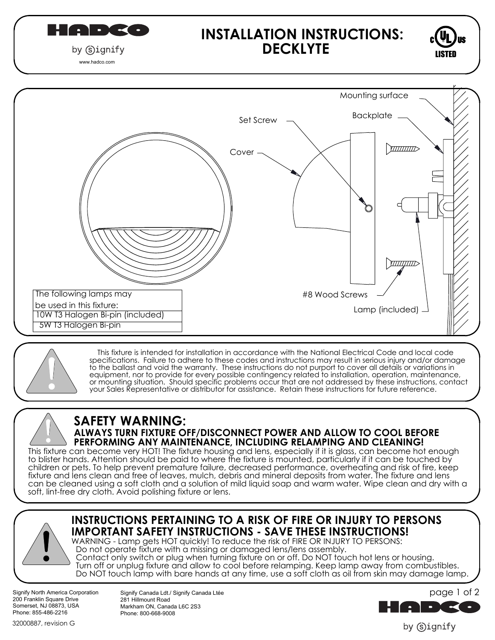$\frac{1}{2}$  (  $\frac{1}{2}$  )  $\frac{1}{2}$  (  $\frac{1}{2}$  )  $\frac{1}{2}$  (  $\frac{1}{2}$  )  $\frac{1}{2}$ by Gignify

## **INSTALLATION INSTRUCTIONS: DECKLYTE**



www.hadco.com



 This fixture is intended for installation in accordance with the National Electrical Code and local code specifications. Failure to adhere to these codes and instructions may result in serious injury and/or damage to the ballast and void the warranty. These instructions do not purport to cover all details or variations in equipment, nor to provide for every possible contingency related to installation, operation, maintenance, or mounting situation. Should specific problems occur that are not addressed by these instructions, contact your Sales Representative or distributor for assistance. Retain these instructions for future reference.

# **SAFETY WARNING:**

# **ALWAYS TURN FIXTURE OFF/DISCONNECT POWER AND ALLOW TO COOL BEFORE PERFORMING ANY MAINTENANCE, INCLUDING RELAMPING AND CLEANING!**

This fixture can become very HOT! The fixture housing and lens, especially if it is glass, can become hot enough to blister hands. Attention should be paid to where the fixture is mounted, particularly if it can be touched by children or pets. To help prevent premature failure, decreased performance, overheating and risk of fire, keep fixture and lens clean and free of leaves, mulch, debris and mineral deposits from water. The fixture and lens can be cleaned using a soft cloth and a solution of mild liquid soap and warm water. Wipe clean and dry with a soft, lint-free dry cloth. Avoid polishing fixture or lens.



## **INSTRUCTIONS PERTAINING TO A RISK OF FIRE OR INJURY TO PERSONS IMPORTANT SAFETY INSTRUCTIONS - SAVE THESE INSTRUCTIONS!**

WARNING - Lamp gets HOT quickly! To reduce the risk of FIRE OR INJURY TO PERSONS:

- Do not operate fixture with a missing or damaged lens/lens assembly.
- Contact only switch or plug when turning fixture on or off. Do NOT touch hot lens or housing. Turn off or unplug fixture and allow to cool before relamping. Keep lamp away from combustibles. Do NOT touch lamp with bare hands at any time, use a soft cloth as oil from skin may damage lamp.

Signify North America Corporation 200 Franklin Square Drive Somerset, NJ 08873, USA Phone: 855-486-2216

Signify Canada Ldt./ Signify Canada Ltée 281 Hillmount Road Markham ON, Canada L6C 2S3 Phone: 800-668-9008



by Signify